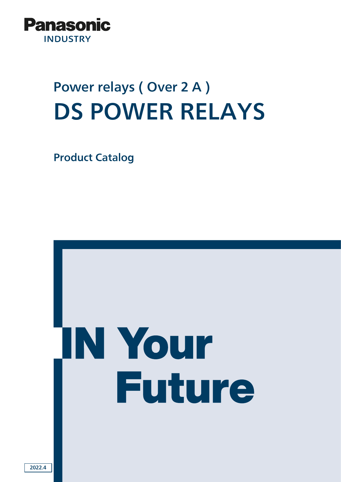

# Power relays ( Over 2 A ) DS POWER RELAYS

Product Catalog



2022.4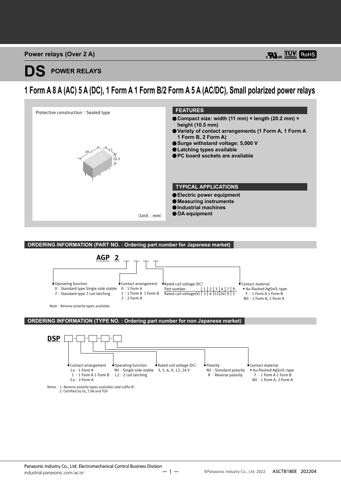## **POWER RELAYS**

### **1 Form A 8 A (AC) 5 A (DC), 1 Form A 1 Form B/2 Form A 5 A (AC/DC), Small polarized power relays**



**ORDERING INFORMATION (PART NO. : Ordering part number for Japanese market)**



Nil:1 Form A, 2 Form A

Notes:1. Reverse polarity types available(add suffix-R) 2. Certified by UL, CSA and TÜV

2a : 2 Form A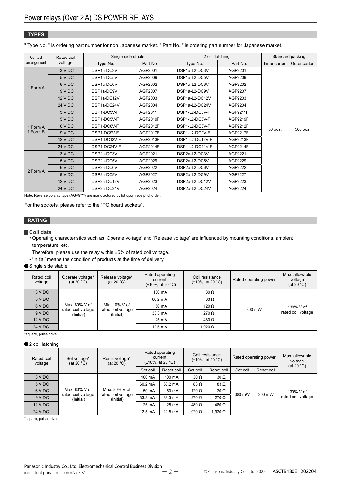#### **TYPES**

" Type No. " is ordering part number for non Japanese market. " Part No. " is ordering part number for Japanese market.

| Contact<br>arrangement | Rated coil | Single side stable                   |                 | 2 coil latching |                 | Standard packing |              |
|------------------------|------------|--------------------------------------|-----------------|-----------------|-----------------|------------------|--------------|
|                        | voltage    | Type No.                             | Part No.        | Type No.        | Part No.        | Inner carton     | Outer carton |
| 1 Form A               | 3 V DC     | DSP1a-DC3V                           | AGP2001         | DSP1a-L2-DC3V   | AGP2201         |                  |              |
|                        | 5 V DC     | DSP1a-DC5V                           | AGP2009         | DSP1a-L2-DC5V   | AGP2209         |                  |              |
|                        | 6 V DC     | DSP1a-DC6V                           | AGP2002         | DSP1a-L2-DC6V   | AGP2202         |                  |              |
|                        | 9 V DC     | DSP <sub>1a-DC9V</sub>               | AGP2007         | DSP1a-L2-DC9V   | AGP2207         |                  |              |
|                        | 12 V DC    | DSP1a-DC12V                          | AGP2003         | DSP1a-L2-DC12V  | AGP2203         | 50 pcs.          | 500 pcs.     |
|                        | 24 V DC    | DSP1a-DC24V                          | AGP2004         | DSP1a-L2-DC24V  | AGP2204         |                  |              |
|                        | 3 V DC     | DSP1-DC3V-F                          | AGP2011F        | DSP1-L2-DC3V-F  | <b>AGP2211F</b> |                  |              |
|                        | 5 V DC     | DSP1-DC5V-F                          | AGP2019F        | DSP1-L2-DC5V-F  | AGP2219F        |                  |              |
| 1 Form A               | 6 V DC     | DSP1-DC6V-F                          | AGP2012F        | DSP1-L2-DC6V-F  | AGP2212F        |                  |              |
| 1 Form B               | 9 V DC     | DSP1-DC9V-F                          | <b>AGP2017F</b> | DSP1-L2-DC9V-F  | <b>AGP2217F</b> |                  |              |
|                        | 12 V DC    | DSP1-DC12V-F                         | AGP2013F        | DSP1-L2-DC12V-F | AGP2213F        |                  |              |
|                        | 24 V DC    | DSP1-DC24V-F                         | AGP2014F        | DSP1-L2-DC24V-F | AGP2214F        |                  |              |
|                        | 3 V DC     | DSP <sub>2a</sub> -DC <sub>3</sub> V | AGP2021         | DSP2a-L2-DC3V   | AGP2221         |                  |              |
|                        | 5 V DC     | DSP <sub>2a</sub> -DC <sub>5</sub> V | AGP2029         | DSP2a-L2-DC5V   | AGP2229         |                  |              |
| 2 Form A               | 6 V DC     | DSP2a-DC6V                           | AGP2022         | DSP2a-L2-DC6V   | AGP2222         |                  |              |
|                        | 9 V DC     | DSP2a-DC9V                           | AGP2027         | DSP2a-L2-DC9V   | AGP2227         |                  |              |
|                        | 12 V DC    | DSP2a-DC12V                          | AGP2023         | DSP2a-L2-DC12V  | AGP2223         |                  |              |
|                        | 24 V DC    | DSP2a-DC24V                          | AGP2024         | DSP2a-L2-DC24V  | AGP2224         |                  |              |

Note: Reverse polarity type (AGP9\*\*\*) are manufactured by lot upon receipt of order.

For the sockets, please refer to the "PC board sockets".

#### **RATING**

#### **Coil data**

• Operating characteristics such as 'Operate voltage' and 'Release voltage' are influenced by mounting conditions, ambient temperature, etc.

Therefore, please use the relay within ±5% of rated coil voltage.

• 'Initial' means the condition of products at the time of delivery.

#### Single side stable

| Rated coil<br>voltage | Operate voltage*<br>(at 20 $°C$ )                | Release voltage*<br>(at 20 $°C$ )   | Rated operating<br>current<br>$(\pm 10\% , \text{ at } 20 \degree \text{C})$ | Coil resistance<br>$(\pm 10\%, \text{ at } 20 \degree C)$ | Rated operating power | Max. allowable<br>voltage<br>(at 20 $^{\circ}$ C) |  |
|-----------------------|--------------------------------------------------|-------------------------------------|------------------------------------------------------------------------------|-----------------------------------------------------------|-----------------------|---------------------------------------------------|--|
| 3 V DC                |                                                  |                                     | 100 mA                                                                       | $30 \Omega$                                               |                       |                                                   |  |
| 5 V DC                | Max. 80% V of<br>rated coil voltage<br>(Initial) |                                     |                                                                              | $60.2 \text{ mA}$                                         | 83 Ω                  |                                                   |  |
| 6 V DC                |                                                  | Min. 10% V of<br>rated coil voltage | 50 mA                                                                        | 120 $\Omega$                                              | 300 mW                | 130% V of                                         |  |
| 9 V DC                |                                                  | (Initial)                           | 33.3 mA                                                                      | $270 \Omega$                                              |                       | rated coil voltage                                |  |
| 12 V DC               |                                                  |                                     | 25 mA                                                                        | 480 $\Omega$                                              |                       |                                                   |  |
| 24 V DC               |                                                  |                                     | $12.5 \text{ mA}$                                                            | 1.920 $\Omega$                                            |                       |                                                   |  |

\*square, pulse drive

#### ●2 coil latching

| Rated coil<br>voltage | Set voltage*<br>Reset voltage*<br>(at 20 $°C$ )<br>(at 20 $^{\circ}$ C) |                                 | Rated operating<br>current<br>$(\pm 10\%, \text{ at } 20 \degree C)$ |            | Coil resistance<br>$(\pm 10\%, \text{ at } 20 \degree C)$ |               | Rated operating power |                     | Max. allowable<br>voltage<br>(at 20 $°C$ ) |
|-----------------------|-------------------------------------------------------------------------|---------------------------------|----------------------------------------------------------------------|------------|-----------------------------------------------------------|---------------|-----------------------|---------------------|--------------------------------------------|
|                       |                                                                         |                                 | Set coil                                                             | Reset coil | Set coil                                                  | Reset coil    | Set coil              | Reset coil          |                                            |
| 3 V DC                | Max. 80% V of<br>rated coil voltage<br>(Initial)                        |                                 | 100 mA                                                               | 100 mA     | $30 \Omega$                                               | $30 \Omega$   | 300 mW                | 130% V of<br>300 mW |                                            |
| 5 V DC                |                                                                         |                                 | 60.2 mA                                                              | 60.2 mA    | $83 \Omega$                                               | $83 \Omega$   |                       |                     | rated coil voltage                         |
| 6 V DC                |                                                                         | Max. 80% V of                   | 50 mA                                                                | 50 mA      | 120 $\Omega$                                              | 120 $\Omega$  |                       |                     |                                            |
| 9 V DC                |                                                                         | rated coil voltage<br>(Initial) | 33.3 mA                                                              | 33.3 mA    | $270 \Omega$                                              | $270 \Omega$  |                       |                     |                                            |
| 12 V DC               |                                                                         |                                 |                                                                      | 25 mA      | 25 mA                                                     | 480 $\Omega$  | 480 $\Omega$          |                     |                                            |
| 24 V DC               |                                                                         |                                 | $12.5 \text{ mA}$                                                    | 12.5 mA    | $1.920\ \Omega$                                           | .920 $\Omega$ |                       |                     |                                            |

\*square, pulse drive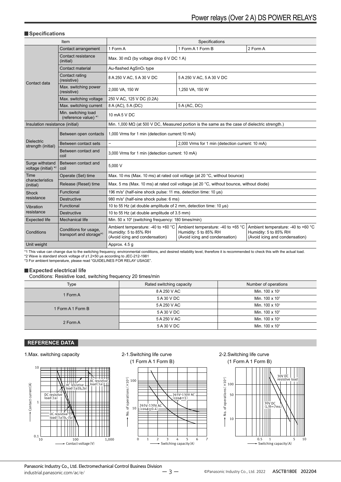#### **Specifications**

|                                         | Item                                             | Specifications                                                                                            |                                                                                                       |                                                                                               |  |  |
|-----------------------------------------|--------------------------------------------------|-----------------------------------------------------------------------------------------------------------|-------------------------------------------------------------------------------------------------------|-----------------------------------------------------------------------------------------------|--|--|
|                                         | Contact arrangement                              | 1 Form A                                                                                                  | 1 Form A 1 Form B                                                                                     | 2 Form A                                                                                      |  |  |
|                                         | Contact resistance<br>(initial)                  | Max. 30 m $\Omega$ (by voltage drop 6 V DC 1 A)                                                           |                                                                                                       |                                                                                               |  |  |
|                                         | Contact material                                 | Au-flashed AgSnO <sub>2</sub> type                                                                        |                                                                                                       |                                                                                               |  |  |
| Contact data                            | Contact rating<br>(resistive)                    | 8 A 250 V AC, 5 A 30 V DC                                                                                 | 5 A 250 V AC, 5 A 30 V DC                                                                             |                                                                                               |  |  |
|                                         | Max. switching power<br>(resistive)              | 2,000 VA, 150 W                                                                                           | 1,250 VA, 150 W                                                                                       |                                                                                               |  |  |
|                                         | Max. switching voltage                           | 250 V AC, 125 V DC (0.2A)                                                                                 |                                                                                                       |                                                                                               |  |  |
|                                         | Max. switching current                           | 8 A (AC), 5 A (DC)                                                                                        | 5 A (AC, DC)                                                                                          |                                                                                               |  |  |
|                                         | Min. switching load<br>(reference value) *1      | 10 mA 5 V DC                                                                                              |                                                                                                       |                                                                                               |  |  |
| Insulation resistance (initial)         |                                                  |                                                                                                           | Min. 1,000 M $\Omega$ (at 500 V DC, Measured portion is the same as the case of dielectric strength.) |                                                                                               |  |  |
|                                         | Between open contacts                            | 1,000 Vrms for 1 min (detection current:10 mA)                                                            |                                                                                                       |                                                                                               |  |  |
| <b>Dielectric</b><br>strength (initial) | Between contact sets                             | $\overline{\phantom{0}}$<br>2,000 Vrms for 1 min (detection current: 10 mA)                               |                                                                                                       |                                                                                               |  |  |
|                                         | Between contact and<br>coil                      | 3,000 Vrms for 1 min (detection current: 10 mA)                                                           |                                                                                                       |                                                                                               |  |  |
| Surge withstand<br>voltage (initial) *2 | Between contact and<br>coil                      | 5,000 V                                                                                                   |                                                                                                       |                                                                                               |  |  |
| Time                                    | Operate (Set) time                               | Max. 10 ms (Max. 10 ms) at rated coil voltage (at 20 °C, without bounce)                                  |                                                                                                       |                                                                                               |  |  |
| characteristics<br>(initial)            | Release (Reset) time                             | Max. 5 ms (Max. 10 ms) at rated coil voltage (at 20 °C, without bounce, without diode)                    |                                                                                                       |                                                                                               |  |  |
| Shock                                   | Functional                                       | 196 m/s <sup>2</sup> (half-sine shock pulse: 11 ms, detection time: 10 µs)                                |                                                                                                       |                                                                                               |  |  |
| resistance                              | <b>Destructive</b>                               | 980 m/s <sup>2</sup> (half-sine shock pulse: 6 ms)                                                        |                                                                                                       |                                                                                               |  |  |
| Vibration                               | Functional                                       | 10 to 55 Hz (at double amplitude of 2 mm, detection time: 10 µs)                                          |                                                                                                       |                                                                                               |  |  |
| resistance                              | <b>Destructive</b>                               | 10 to 55 Hz (at double amplitude of 3.5 mm)                                                               |                                                                                                       |                                                                                               |  |  |
| <b>Expected life</b>                    | <b>Mechanical life</b>                           | Min. 50 x 10 <sup>6</sup> (switching frequency: 180 times/min)                                            |                                                                                                       |                                                                                               |  |  |
| Conditions                              | Conditions for usage,<br>transport and storage*3 | Ambient temperature: -40 to +60 $^{\circ}$ C  <br>Humidity: 5 to 85% RH<br>(Avoid icing and condensation) | Ambient temperature: -40 to +65 °C<br>Humidity: 5 to 85% RH<br>(Avoid icing and condensation)         | Ambient temperature: -40 to +60 °C<br>Humidity: 5 to 85% RH<br>(Avoid icing and condensation) |  |  |
| Unit weight                             |                                                  | Approx. 4.5 g                                                                                             |                                                                                                       |                                                                                               |  |  |

\*1 This value can change due to the switching frequency, environmental conditions, and desired reliability level, therefore it is recommended to check this with the actual load.<br>\*2 Wave is standard shock voltage of ±1.2×50

#### **Expected electrical life**

Conditions: Resistive load, switching frequency 20 times/min

| Type              | Rated switching capacity | Number of operations   |  |  |  |
|-------------------|--------------------------|------------------------|--|--|--|
| 1 Form A          | 8 A 250 V AC             | Min. $100 \times 10^3$ |  |  |  |
|                   | 5 A 30 V DC              | Min. $100 \times 10^3$ |  |  |  |
| 1 Form A 1 Form B | 5 A 250 V AC             | Min. $100 \times 10^3$ |  |  |  |
|                   | 5 A 30 V DC              | Min. $100 \times 10^3$ |  |  |  |
| 2 Form A          | 5 A 250 V AC             | Min. $100 \times 10^3$ |  |  |  |
|                   | 5 A 30 V DC              | Min. $100 \times 10^3$ |  |  |  |
|                   |                          |                        |  |  |  |

#### **REFERENCE DATA**

#### 1.Max. switching capacity







#### 2-2.Switching life curve (1 Form A 1 Form B)

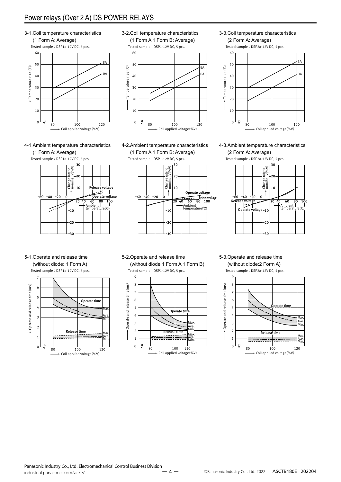### Power relays (Over 2 A) DS POWER RELAYS

3-1.Coil temperature characteristics (1 Form A: Average) Tested sample: DSP1a-12V DC, 5 pcs. Tested sample: DSP1-12V DC, 5 pcs. 60 60 8A 50 50  $\widehat{\mathcal{O}}$ Temperature rise (°C) Temperature rise (℃) Temperature rise (℃) Temperature rise 0A 40 40 30 30 20 20 10 10  $\overline{0}$ 0 80 100 120 Coil applied voltage(%V)

#### 4-1.Ambient temperature characteristics





3-2.Coil temperature characteristics (1 Form A 1 Form B: Average)



4-2.Ambient temperature characteristics (1 Form A 1 Form B: Average)

Tested sample: DSP1-12V DC, 5 pcs.



3-3.Coil temperature characteristics (2 Form A: Average)



#### 4-3.Ambient temperature characteristics



#### 5-1.Operate and release time

(without diode: 1 Form A) Tested sample: DSP1a-12V DC, 5 pcs.







#### 5-3.Operate and release time (without diode:2 Form A)

Tested sample: DSP2a-12V DC, 5 pcs.

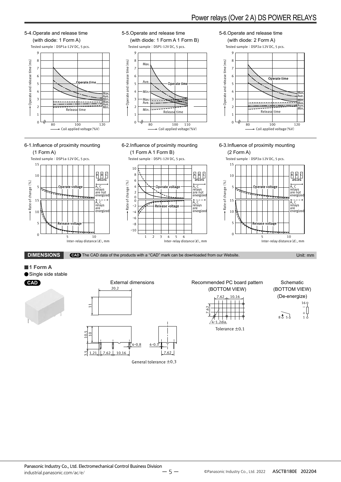



General tolerance ±0.3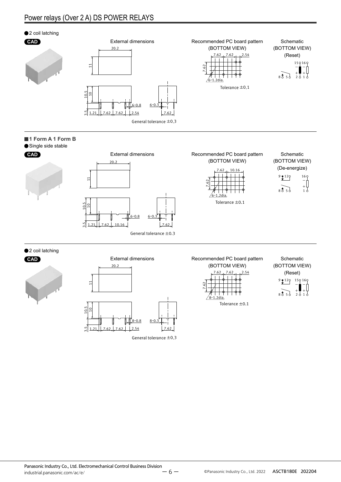#### Power relays (Over 2 A) DS POWER RELAYS



3.5

–ሰ.8

General tolerance ±0.3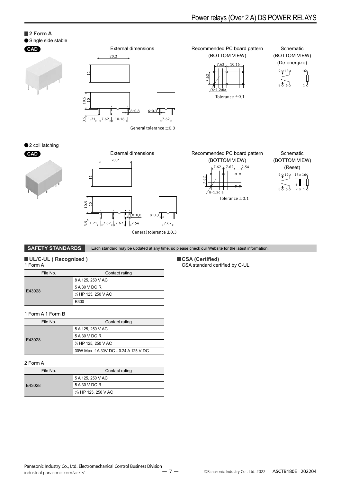### Power relays (Over 2 A) DS POWER RELAYS

-

#### **2 Form A**

#### Single side stable



#### ●2 coil latching





2.54 8ー1.2dia.  $\check{ }$ 7.62  $7.62 - 7.62$ Tolerance ±0.1 - + -  $8\overline{3}5\overline{5}$   $2$ 9 2 1 2 2 1 5 9 1 6 1 **CAD** External dimensions Recommended PC board pattern (BOTTOM VIEW) Schematic (BOTTOM VIEW) (Reset)

**SAFETY STANDARDS** Each standard may be updated at any time, so please check our Website for the latest information.

#### **UL/C-UL ( Recognized )**

| 1 Form A                   |                                  |  |  |  |  |  |
|----------------------------|----------------------------------|--|--|--|--|--|
| File No.<br>Contact rating |                                  |  |  |  |  |  |
|                            | 8 A 125, 250 V AC                |  |  |  |  |  |
|                            | 5 A 30 V DC R                    |  |  |  |  |  |
| E43028                     | 1/ <sub>6</sub> HP 125, 250 V AC |  |  |  |  |  |
|                            | <b>B300</b>                      |  |  |  |  |  |

#### 1 Form A 1 Form B

| File No. | Contact rating                        |  |  |
|----------|---------------------------------------|--|--|
|          | 5 A 125, 250 V AC                     |  |  |
|          | 5 A 30 V DC R                         |  |  |
| E43028   | 1/ <sub>6</sub> HP 125, 250 V AC      |  |  |
|          | 30W Max.: 1A 30V DC - 0.24 A 125 V DC |  |  |

#### 2 Form A

| File No. | Contact rating                   |  |  |
|----------|----------------------------------|--|--|
|          | 5 A 125, 250 V AC                |  |  |
| E43028   | 5 A 30 V DC R                    |  |  |
|          | 1/ <sub>0</sub> HP 125, 250 V AC |  |  |

#### **CSA (Certified)**

CSA standard certified by C-UL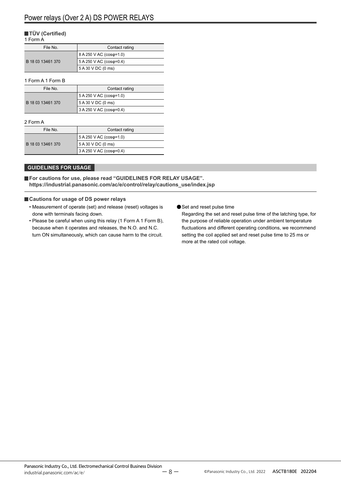#### **TÜV (Certified)**

#### 1 Form A

| File No.          | Contact rating          |  |  |
|-------------------|-------------------------|--|--|
|                   | 8 A 250 V AC (coso=1.0) |  |  |
| B 18 03 13461 370 | 5 A 250 V AC (coso=0.4) |  |  |
|                   | 5 A 30 V DC (0 ms)      |  |  |

#### 1 Form A 1 Form B

| File No.          | Contact rating          |  |  |
|-------------------|-------------------------|--|--|
|                   | 5 A 250 V AC (cosφ=1.0) |  |  |
| B 18 03 13461 370 | 5 A 30 V DC (0 ms)      |  |  |
|                   | 3 A 250 V AC (coso=0.4) |  |  |

#### 2 Form A

| File No.          | Contact rating                    |  |  |
|-------------------|-----------------------------------|--|--|
|                   | 5 A 250 V AC (cos $\varphi$ =1.0) |  |  |
| B 18 03 13461 370 | 5 A 30 V DC (0 ms)                |  |  |
|                   | 3 A 250 V AC (coso=0.4)           |  |  |

#### **GUIDELINES FOR USAGE**

**For cautions for use, please read "GUIDELINES FOR RELAY USAGE". https://industrial.panasonic.com/ac/e/control/relay/cautions\_use/index.jsp**

#### **Cautions for usage of DS power relays**

- Measurement of operate (set) and release (reset) voltages is done with terminals facing down.
- Please be careful when using this relay (1 Form A 1 Form B), because when it operates and releases, the N.O. and N.C. turn ON simultaneously, which can cause harm to the circuit.
- Set and reset pulse time

Regarding the set and reset pulse time of the latching type, for the purpose of reliable operation under ambient temperature fluctuations and different operating conditions, we recommend setting the coil applied set and reset pulse time to 25 ms or more at the rated coil voltage.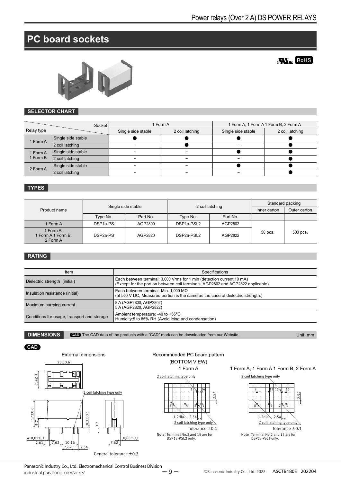**ROHS** 

### **PC board sockets**



#### **SELECTOR CHART**

|                      | Socket             | 1 Form A           |                 | 1 Form A, 1 Form A 1 Form B, 2 Form A |                 |  |
|----------------------|--------------------|--------------------|-----------------|---------------------------------------|-----------------|--|
| Relay type           |                    | Single side stable | 2 coil latching | Single side stable                    | 2 coil latching |  |
| 1 Form A             | Single side stable |                    |                 |                                       |                 |  |
|                      | 2 coil latching    |                    |                 |                                       |                 |  |
| 1 Form A<br>1 Form B | Single side stable |                    |                 |                                       |                 |  |
|                      | 2 coil latching    |                    | -               |                                       |                 |  |
| 2 Form A             | Single side stable |                    | -               |                                       |                 |  |
|                      | 2 coil latching    |                    | -               |                                       |                 |  |

#### **TYPES**

| Product name                                | Single side stable   |          | 2 coil latching        |          | Standard packing |              |
|---------------------------------------------|----------------------|----------|------------------------|----------|------------------|--------------|
|                                             |                      |          |                        |          | Inner carton     | Outer carton |
|                                             | Type No.             | Part No. | Type No.               | Part No. |                  |              |
| 1 Form A                                    | DSP <sub>1a-PS</sub> | AGP2800  | DSP <sub>1a-PSL2</sub> | AGP2802  |                  |              |
| 1 Form A,<br>1 Form A 1 Form B,<br>2 Form A | DSP <sub>2a-PS</sub> | AGP2820  | DSP2a-PSL2             | AGP2822  | 50 pcs.          | 500 pcs.     |

#### **RATING**

| Item                                        | Specifications                                                                                                                                           |
|---------------------------------------------|----------------------------------------------------------------------------------------------------------------------------------------------------------|
| Dielectric strength (initial)               | Each between terminal: 3,000 Vrms for 1 min (detection current:10 mA)<br>(Except for the portion between coil terminals, AGP2802 and AGP2822 applicable) |
| Insulation resistance (initial)             | Each between terminal: Min. 1,000 $M\Omega$<br>(at 500 V DC, Measured portion is the same as the case of dielectric strength.)                           |
| Maximum carrying current                    | 8 A (AGP2800, AGP2802)<br>5 A (AGP2820, AGP2822)                                                                                                         |
| Conditions for usage, transport and storage | Ambient temperature: -40 to +65°C<br>Humidity:5 to 85% RH (Avoid icing and condensation)                                                                 |

**DIMENSIONS CAD** The CAD data of the products with a "CAD" mark can be downloaded from our Website. Unit: mm







#### 1 Form A 1 Form A, 1 Form A 1 Form B, 2 Form A



Panasonic Industry Co., Ltd. Electromechanical Control Business Division industrial.panasonic.com/ac/e/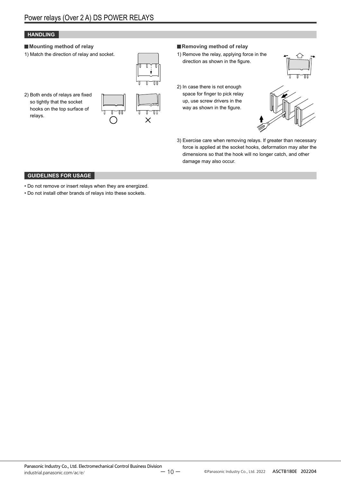#### **HANDLING**

#### **Mounting method of relay**

1) Match the direction of relay and socket.



2) Both ends of relays are fixed so tightly that the socket hooks on the top surface of relays.



#### **Removing method of relay**

- 1) Remove the relay, applying force in the direction as shown in the figure.
- 2) In case there is not enough space for finger to pick relay up, use screw drivers in the way as shown in the figure.





3) Exercise care when removing relays. If greater than necessary force is applied at the socket hooks, deformation may alter the dimensions so that the hook will no longer catch, and other damage may also occur.

#### **GUIDELINES FOR USAGE**

- Do not remove or insert relays when they are energized.
- Do not install other brands of relays into these sockets.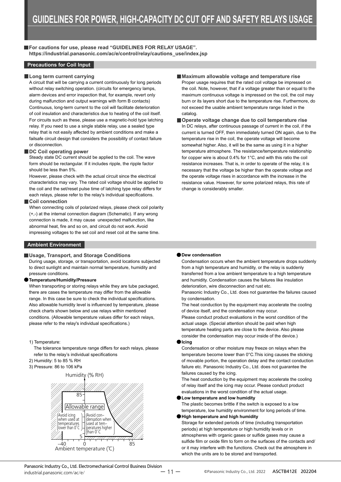**For cautions for use, please read "GUIDELINES FOR RELAY USAGE". https://industrial.panasonic.com/ac/e/control/relay/cautions\_use/index.jsp**

#### **Precautions for Coil Input**

#### **Long term current carrying**

A circuit that will be carrying a current continuously for long periods without relay switching operation. (circuits for emergency lamps, alarm devices and error inspection that, for example, revert only during malfunction and output warnings with form B contacts) Continuous, long-term current to the coil will facilitate deterioration of coil insulation and characteristics due to heating of the coil itself. For circuits such as these, please use a magnetic-hold type latching relay. If you need to use a single stable relay, use a sealed type relay that is not easily affected by ambient conditions and make a failsafe circuit design that considers the possibility of contact failure or disconnection.

#### **DC Coil operating power**

Steady state DC current should be applied to the coil. The wave form should be rectangular. If it includes ripple, the ripple factor should be less than 5%.

However, please check with the actual circuit since the electrical characteristics may vary. The rated coil voltage should be applied to the coil and the set/reset pulse time of latching type relay differs for each relays, please refer to the relay's individual specifications.

#### **Coil connection**

When connecting coils of polarized relays, please check coil polarity (+,-) at the internal connection diagram (Schematic). If any wrong connection is made, it may cause unexpected malfunction, like abnormal heat, fire and so on, and circuit do not work. Avoid impressing voltages to the set coil and reset coil at the same time.

#### **Ambient Environment**

#### **Usage, Transport, and Storage Conditions**

During usage, storage, or transportation, avoid locations subjected to direct sunlight and maintain normal temperature, humidity and pressure conditions.

#### **Temperature/Humidity/Pressure**

When transporting or storing relays while they are tube packaged. there are cases the temperature may differ from the allowable range. In this case be sure to check the individual specifications. Also allowable humidity level is influenced by temperature, please check charts shown below and use relays within mentioned conditions. (Allowable temperature values differ for each relays, please refer to the relay's individual specifications.)

#### 1) Temperature:

The tolerance temperature range differs for each relays, please refer to the relay's individual specifications

- 2) Humidity: 5 to 85 % RH
- 3) Pressure: 86 to 106 kPa





#### **Maximum allowable voltage and temperature rise** Proper usage requires that the rated coil voltage be impressed on the coil. Note, however, that if a voltage greater than or equal to the maximum continuous voltage is impressed on the coil, the coil may burn or its layers short due to the temperature rise. Furthermore, do not exceed the usable ambient temperature range listed in the catalog.

**Operate voltage change due to coil temperature rise** In DC relays, after continuous passage of current in the coil, if the current is turned OFF, then immediately turned ON again, due to the temperature rise in the coil, the operate voltage will become somewhat higher. Also, it will be the same as using it in a higher temperature atmosphere. The resistance/temperature relationship for copper wire is about 0.4% for 1°C, and with this ratio the coil resistance increases. That is, in order to operate of the relay, it is necessary that the voltage be higher than the operate voltage and the operate voltage rises in accordance with the increase in the resistance value. However, for some polarized relays, this rate of change is considerably smaller.

#### **Dew condensation**

Condensation occurs when the ambient temperature drops suddenly from a high temperature and humidity, or the relay is suddenly transferred from a low ambient temperature to a high temperature and humidity. Condensation causes the failures like insulation deterioration, wire disconnection and rust etc.

Panasonic Industry Co., Ltd. does not guarantee the failures caused by condensation.

The heat conduction by the equipment may accelerate the cooling of device itself, and the condensation may occur.

Please conduct product evaluations in the worst condition of the actual usage. (Special attention should be paid when high temperature heating parts are close to the device. Also please consider the condensation may occur inside of the device.)

#### **Icing**

Condensation or other moisture may freeze on relays when the temperature become lower than 0°C.This icing causes the sticking of movable portion, the operation delay and the contact conduction failure etc. Panasonic Industry Co., Ltd. does not guarantee the failures caused by the icing.

The heat conduction by the equipment may accelerate the cooling of relay itself and the icing may occur. Please conduct product evaluations in the worst condition of the actual usage.

**Low temperature and low humidity**

The plastic becomes brittle if the switch is exposed to a low temperature, low humidity environment for long periods of time.

**High temperature and high humidity**

Storage for extended periods of time (including transportation periods) at high temperature or high humidity levels or in atmospheres with organic gases or sulfide gases may cause a sulfide film or oxide film to form on the surfaces of the contacts and/ or it may interfere with the functions. Check out the atmosphere in which the units are to be stored and transported.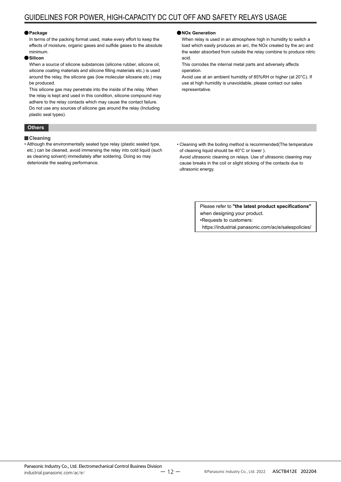#### **Package**

In terms of the packing format used, make every effort to keep the effects of moisture, organic gases and sulfide gases to the absolute minimum.

#### **Silicon**

When a source of silicone substances (silicone rubber, silicone oil, silicone coating materials and silicone filling materials etc.) is used around the relay, the silicone gas (low molecular siloxane etc.) may be produced.

This silicone gas may penetrate into the inside of the relay. When the relay is kept and used in this condition, silicone compound may adhere to the relay contacts which may cause the contact failure. Do not use any sources of silicone gas around the relay (Including plastic seal types).

#### **Others**

#### **Cleaning**

• Although the environmentally sealed type relay (plastic sealed type, etc.) can be cleaned, avoid immersing the relay into cold liquid (such as cleaning solvent) immediately after soldering. Doing so may deteriorate the sealing performance.

#### **NOx Generation**

When relay is used in an atmosphere high in humidity to switch a load which easily produces an arc, the NOx created by the arc and the water absorbed from outside the relay combine to produce nitric acid.

This corrodes the internal metal parts and adversely affects operation.

Avoid use at an ambient humidity of 85%RH or higher (at 20°C). If use at high humidity is unavoidable, please contact our sales representative.

• Cleaning with the boiling method is recommended(The temperature of cleaning liquid should be 40°C or lower ).

Avoid ultrasonic cleaning on relays. Use of ultrasonic cleaning may cause breaks in the coil or slight sticking of the contacts due to ultrasonic energy.

> Please refer to **"the latest product specifications"** when designing your product. •Requests to customers: https://industrial.panasonic.com/ac/e/salespolicies/